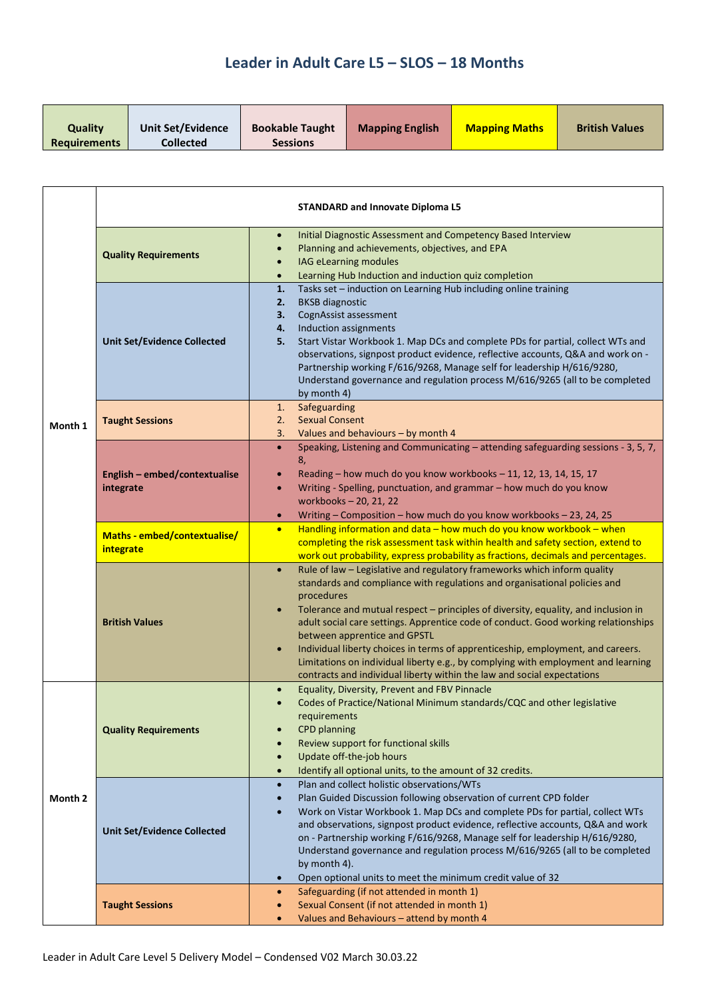| Quality             | <b>Unit Set/Evidence</b> | <b>Bookable Taught</b> | <b>Mapping English</b> | <b>Mapping Maths</b> | <b>British Values</b> |
|---------------------|--------------------------|------------------------|------------------------|----------------------|-----------------------|
| <b>Requirements</b> | <b>Collected</b>         | <b>Sessions</b>        |                        |                      |                       |

|         | <b>STANDARD and Innovate Diploma L5</b>    |                                                                                                                                                                                                                                                                                                                                                                                                                                                                                                                                                                                                                                                                           |  |
|---------|--------------------------------------------|---------------------------------------------------------------------------------------------------------------------------------------------------------------------------------------------------------------------------------------------------------------------------------------------------------------------------------------------------------------------------------------------------------------------------------------------------------------------------------------------------------------------------------------------------------------------------------------------------------------------------------------------------------------------------|--|
|         | <b>Quality Requirements</b>                | Initial Diagnostic Assessment and Competency Based Interview<br>$\bullet$<br>Planning and achievements, objectives, and EPA<br>$\bullet$<br>IAG eLearning modules<br>Learning Hub Induction and induction quiz completion<br>$\bullet$                                                                                                                                                                                                                                                                                                                                                                                                                                    |  |
|         | <b>Unit Set/Evidence Collected</b>         | Tasks set - induction on Learning Hub including online training<br>1.<br><b>BKSB</b> diagnostic<br>2.<br>CognAssist assessment<br>3.<br>Induction assignments<br>4.<br>Start Vistar Workbook 1. Map DCs and complete PDs for partial, collect WTs and<br>5.<br>observations, signpost product evidence, reflective accounts, Q&A and work on -<br>Partnership working F/616/9268, Manage self for leadership H/616/9280,<br>Understand governance and regulation process M/616/9265 (all to be completed<br>by month 4)                                                                                                                                                   |  |
| Month 1 | <b>Taught Sessions</b>                     | Safeguarding<br>1.<br><b>Sexual Consent</b><br>2.<br>Values and behaviours - by month 4<br>3.                                                                                                                                                                                                                                                                                                                                                                                                                                                                                                                                                                             |  |
|         | English - embed/contextualise<br>integrate | Speaking, Listening and Communicating - attending safeguarding sessions - 3, 5, 7,<br>$\bullet$<br>8,<br>Reading - how much do you know workbooks - 11, 12, 13, 14, 15, 17<br>$\bullet$<br>Writing - Spelling, punctuation, and grammar - how much do you know<br>$\bullet$<br>workbooks - 20, 21, 22<br>Writing - Composition - how much do you know workbooks - 23, 24, 25<br>$\bullet$                                                                                                                                                                                                                                                                                 |  |
|         | Maths - embed/contextualise/<br>integrate  | Handling information and data - how much do you know workbook - when<br>$\bullet$<br>completing the risk assessment task within health and safety section, extend to<br>work out probability, express probability as fractions, decimals and percentages.                                                                                                                                                                                                                                                                                                                                                                                                                 |  |
|         | <b>British Values</b>                      | Rule of law - Legislative and regulatory frameworks which inform quality<br>$\bullet$<br>standards and compliance with regulations and organisational policies and<br>procedures<br>Tolerance and mutual respect - principles of diversity, equality, and inclusion in<br>$\bullet$<br>adult social care settings. Apprentice code of conduct. Good working relationships<br>between apprentice and GPSTL<br>Individual liberty choices in terms of apprenticeship, employment, and careers.<br>$\bullet$<br>Limitations on individual liberty e.g., by complying with employment and learning<br>contracts and individual liberty within the law and social expectations |  |
|         | <b>Quality Requirements</b>                | Equality, Diversity, Prevent and FBV Pinnacle<br>Codes of Practice/National Minimum standards/CQC and other legislative<br>requirements<br><b>CPD</b> planning<br>Review support for functional skills<br>Update off-the-job hours<br>$\bullet$<br>Identify all optional units, to the amount of 32 credits.<br>$\bullet$                                                                                                                                                                                                                                                                                                                                                 |  |
| Month 2 | <b>Unit Set/Evidence Collected</b>         | Plan and collect holistic observations/WTs<br>$\bullet$<br>Plan Guided Discussion following observation of current CPD folder<br>$\bullet$<br>Work on Vistar Workbook 1. Map DCs and complete PDs for partial, collect WTs<br>and observations, signpost product evidence, reflective accounts, Q&A and work<br>on - Partnership working F/616/9268, Manage self for leadership H/616/9280,<br>Understand governance and regulation process M/616/9265 (all to be completed<br>by month 4).<br>Open optional units to meet the minimum credit value of 32<br>$\bullet$                                                                                                    |  |
|         | <b>Taught Sessions</b>                     | Safeguarding (if not attended in month 1)<br>$\bullet$<br>Sexual Consent (if not attended in month 1)<br>Values and Behaviours - attend by month 4<br>$\bullet$                                                                                                                                                                                                                                                                                                                                                                                                                                                                                                           |  |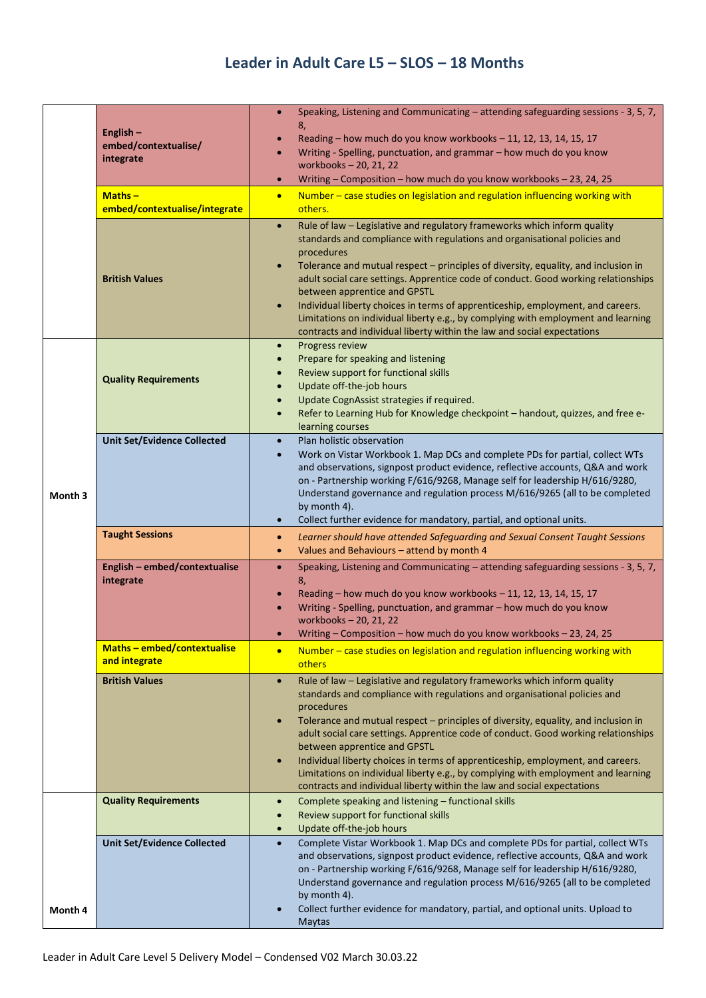|         | English-<br>embed/contextualise/<br>integrate<br>$Maths -$<br>embed/contextualise/integrate<br><b>British Values</b> | Speaking, Listening and Communicating - attending safeguarding sessions - 3, 5, 7,<br>$\bullet$<br>8,<br>Reading - how much do you know workbooks - 11, 12, 13, 14, 15, 17<br>Writing - Spelling, punctuation, and grammar - how much do you know<br>workbooks - 20, 21, 22<br>Writing - Composition - how much do you know workbooks - 23, 24, 25<br>$\bullet$<br>Number - case studies on legislation and regulation influencing working with<br>$\bullet$<br>others.<br>Rule of law - Legislative and regulatory frameworks which inform quality<br>$\bullet$<br>standards and compliance with regulations and organisational policies and<br>procedures<br>Tolerance and mutual respect - principles of diversity, equality, and inclusion in<br>$\bullet$<br>adult social care settings. Apprentice code of conduct. Good working relationships<br>between apprentice and GPSTL<br>Individual liberty choices in terms of apprenticeship, employment, and careers.<br>$\bullet$<br>Limitations on individual liberty e.g., by complying with employment and learning<br>contracts and individual liberty within the law and social expectations |
|---------|----------------------------------------------------------------------------------------------------------------------|------------------------------------------------------------------------------------------------------------------------------------------------------------------------------------------------------------------------------------------------------------------------------------------------------------------------------------------------------------------------------------------------------------------------------------------------------------------------------------------------------------------------------------------------------------------------------------------------------------------------------------------------------------------------------------------------------------------------------------------------------------------------------------------------------------------------------------------------------------------------------------------------------------------------------------------------------------------------------------------------------------------------------------------------------------------------------------------------------------------------------------------------------|
|         | <b>Quality Requirements</b>                                                                                          | Progress review<br>$\bullet$<br>Prepare for speaking and listening<br>$\bullet$<br>Review support for functional skills<br>Update off-the-job hours<br>$\bullet$<br>Update CognAssist strategies if required.<br>$\bullet$<br>Refer to Learning Hub for Knowledge checkpoint - handout, quizzes, and free e-<br>$\bullet$<br>learning courses                                                                                                                                                                                                                                                                                                                                                                                                                                                                                                                                                                                                                                                                                                                                                                                                        |
| Month 3 | <b>Unit Set/Evidence Collected</b>                                                                                   | Plan holistic observation<br>$\bullet$<br>Work on Vistar Workbook 1. Map DCs and complete PDs for partial, collect WTs<br>and observations, signpost product evidence, reflective accounts, Q&A and work<br>on - Partnership working F/616/9268, Manage self for leadership H/616/9280,<br>Understand governance and regulation process M/616/9265 (all to be completed<br>by month 4).<br>Collect further evidence for mandatory, partial, and optional units.<br>$\bullet$                                                                                                                                                                                                                                                                                                                                                                                                                                                                                                                                                                                                                                                                         |
|         | <b>Taught Sessions</b>                                                                                               | Learner should have attended Safeguarding and Sexual Consent Taught Sessions<br>$\bullet$<br>Values and Behaviours - attend by month 4<br>$\bullet$                                                                                                                                                                                                                                                                                                                                                                                                                                                                                                                                                                                                                                                                                                                                                                                                                                                                                                                                                                                                  |
|         | English - embed/contextualise<br>integrate                                                                           | Speaking, Listening and Communicating - attending safeguarding sessions - 3, 5, 7,<br>$\bullet$<br>8,<br>Reading - how much do you know workbooks - 11, 12, 13, 14, 15, 17<br>Writing - Spelling, punctuation, and grammar - how much do you know<br>workbooks - 20, 21, 22<br>Writing - Composition - how much do you know workbooks - 23, 24, 25                                                                                                                                                                                                                                                                                                                                                                                                                                                                                                                                                                                                                                                                                                                                                                                                   |
|         | Maths - embed/contextualise<br>and integrate                                                                         | Number - case studies on legislation and regulation influencing working with<br>$\bullet$<br>others                                                                                                                                                                                                                                                                                                                                                                                                                                                                                                                                                                                                                                                                                                                                                                                                                                                                                                                                                                                                                                                  |
|         | <b>British Values</b>                                                                                                | Rule of law - Legislative and regulatory frameworks which inform quality<br>$\bullet$<br>standards and compliance with regulations and organisational policies and<br>procedures<br>Tolerance and mutual respect - principles of diversity, equality, and inclusion in<br>$\bullet$<br>adult social care settings. Apprentice code of conduct. Good working relationships<br>between apprentice and GPSTL<br>Individual liberty choices in terms of apprenticeship, employment, and careers.<br>$\bullet$<br>Limitations on individual liberty e.g., by complying with employment and learning<br>contracts and individual liberty within the law and social expectations                                                                                                                                                                                                                                                                                                                                                                                                                                                                            |
|         | <b>Quality Requirements</b>                                                                                          | Complete speaking and listening - functional skills<br>$\bullet$<br>Review support for functional skills<br>$\bullet$                                                                                                                                                                                                                                                                                                                                                                                                                                                                                                                                                                                                                                                                                                                                                                                                                                                                                                                                                                                                                                |
| Month 4 | <b>Unit Set/Evidence Collected</b>                                                                                   | Update off-the-job hours<br>$\bullet$<br>Complete Vistar Workbook 1. Map DCs and complete PDs for partial, collect WTs<br>$\bullet$<br>and observations, signpost product evidence, reflective accounts, Q&A and work<br>on - Partnership working F/616/9268, Manage self for leadership H/616/9280,<br>Understand governance and regulation process M/616/9265 (all to be completed<br>by month 4).<br>Collect further evidence for mandatory, partial, and optional units. Upload to<br><b>Maytas</b>                                                                                                                                                                                                                                                                                                                                                                                                                                                                                                                                                                                                                                              |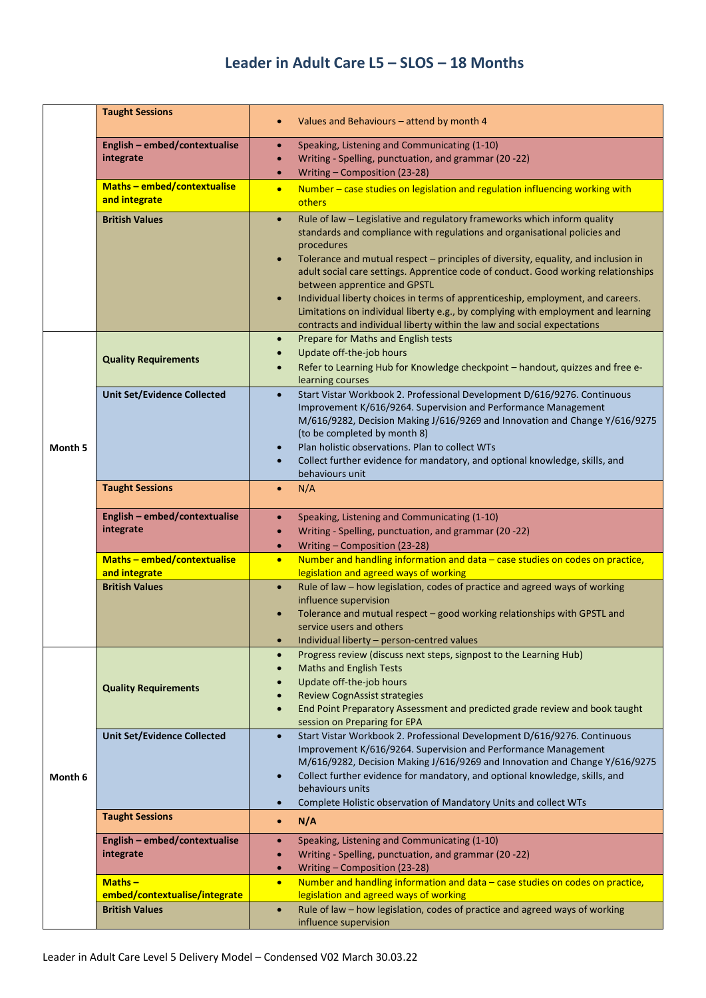|         | <b>Taught Sessions</b>                       | Values and Behaviours - attend by month 4<br>$\bullet$                                                                                                                                                                                                                                                                                                                                                                                                                                                                                                                                                                                                                    |
|---------|----------------------------------------------|---------------------------------------------------------------------------------------------------------------------------------------------------------------------------------------------------------------------------------------------------------------------------------------------------------------------------------------------------------------------------------------------------------------------------------------------------------------------------------------------------------------------------------------------------------------------------------------------------------------------------------------------------------------------------|
|         | English - embed/contextualise<br>integrate   | Speaking, Listening and Communicating (1-10)<br>$\bullet$<br>Writing - Spelling, punctuation, and grammar (20 -22)<br>$\bullet$<br>Writing - Composition (23-28)<br>$\bullet$                                                                                                                                                                                                                                                                                                                                                                                                                                                                                             |
|         | Maths-embed/contextualise<br>and integrate   | Number - case studies on legislation and regulation influencing working with<br>$\bullet$<br>others                                                                                                                                                                                                                                                                                                                                                                                                                                                                                                                                                                       |
|         | <b>British Values</b>                        | Rule of law - Legislative and regulatory frameworks which inform quality<br>$\bullet$<br>standards and compliance with regulations and organisational policies and<br>procedures<br>Tolerance and mutual respect - principles of diversity, equality, and inclusion in<br>$\bullet$<br>adult social care settings. Apprentice code of conduct. Good working relationships<br>between apprentice and GPSTL<br>Individual liberty choices in terms of apprenticeship, employment, and careers.<br>$\bullet$<br>Limitations on individual liberty e.g., by complying with employment and learning<br>contracts and individual liberty within the law and social expectations |
|         | <b>Quality Requirements</b>                  | Prepare for Maths and English tests<br>$\bullet$<br>Update off-the-job hours<br>Refer to Learning Hub for Knowledge checkpoint - handout, quizzes and free e-<br>learning courses                                                                                                                                                                                                                                                                                                                                                                                                                                                                                         |
| Month 5 | <b>Unit Set/Evidence Collected</b>           | Start Vistar Workbook 2. Professional Development D/616/9276. Continuous<br>$\bullet$<br>Improvement K/616/9264. Supervision and Performance Management<br>M/616/9282, Decision Making J/616/9269 and Innovation and Change Y/616/9275<br>(to be completed by month 8)<br>Plan holistic observations. Plan to collect WTs<br>Collect further evidence for mandatory, and optional knowledge, skills, and<br>behaviours unit                                                                                                                                                                                                                                               |
|         | <b>Taught Sessions</b>                       | N/A<br>$\bullet$                                                                                                                                                                                                                                                                                                                                                                                                                                                                                                                                                                                                                                                          |
|         | English - embed/contextualise<br>integrate   | Speaking, Listening and Communicating (1-10)<br>$\bullet$<br>Writing - Spelling, punctuation, and grammar (20 -22)<br>$\bullet$<br>Writing - Composition (23-28)<br>$\bullet$                                                                                                                                                                                                                                                                                                                                                                                                                                                                                             |
|         | Maths - embed/contextualise<br>and integrate | Number and handling information and data - case studies on codes on practice,<br>$\bullet$<br>legislation and agreed ways of working                                                                                                                                                                                                                                                                                                                                                                                                                                                                                                                                      |
|         | <b>British Values</b>                        | Rule of law - how legislation, codes of practice and agreed ways of working<br>$\bullet$<br>influence supervision<br>Tolerance and mutual respect - good working relationships with GPSTL and<br>$\bullet$<br>service users and others<br>Individual liberty - person-centred values<br>$\bullet$                                                                                                                                                                                                                                                                                                                                                                         |
|         | <b>Quality Requirements</b>                  | Progress review (discuss next steps, signpost to the Learning Hub)<br>$\bullet$<br><b>Maths and English Tests</b><br>$\bullet$<br>Update off-the-job hours<br><b>Review CognAssist strategies</b><br>End Point Preparatory Assessment and predicted grade review and book taught<br>$\bullet$<br>session on Preparing for EPA                                                                                                                                                                                                                                                                                                                                             |
| Month 6 | <b>Unit Set/Evidence Collected</b>           | Start Vistar Workbook 2. Professional Development D/616/9276. Continuous<br>$\bullet$<br>Improvement K/616/9264. Supervision and Performance Management<br>M/616/9282, Decision Making J/616/9269 and Innovation and Change Y/616/9275<br>Collect further evidence for mandatory, and optional knowledge, skills, and<br>$\bullet$<br>behaviours units<br>Complete Holistic observation of Mandatory Units and collect WTs<br>$\bullet$                                                                                                                                                                                                                                   |
|         | <b>Taught Sessions</b>                       | N/A<br>$\bullet$                                                                                                                                                                                                                                                                                                                                                                                                                                                                                                                                                                                                                                                          |
|         | English - embed/contextualise<br>integrate   | Speaking, Listening and Communicating (1-10)<br>$\bullet$<br>Writing - Spelling, punctuation, and grammar (20 -22)<br>$\bullet$<br>Writing - Composition (23-28)<br>$\bullet$                                                                                                                                                                                                                                                                                                                                                                                                                                                                                             |
|         | $Maths -$<br>embed/contextualise/integrate   | Number and handling information and data - case studies on codes on practice,<br>$\bullet$<br>legislation and agreed ways of working                                                                                                                                                                                                                                                                                                                                                                                                                                                                                                                                      |
|         | <b>British Values</b>                        | Rule of law - how legislation, codes of practice and agreed ways of working<br>$\bullet$<br>influence supervision                                                                                                                                                                                                                                                                                                                                                                                                                                                                                                                                                         |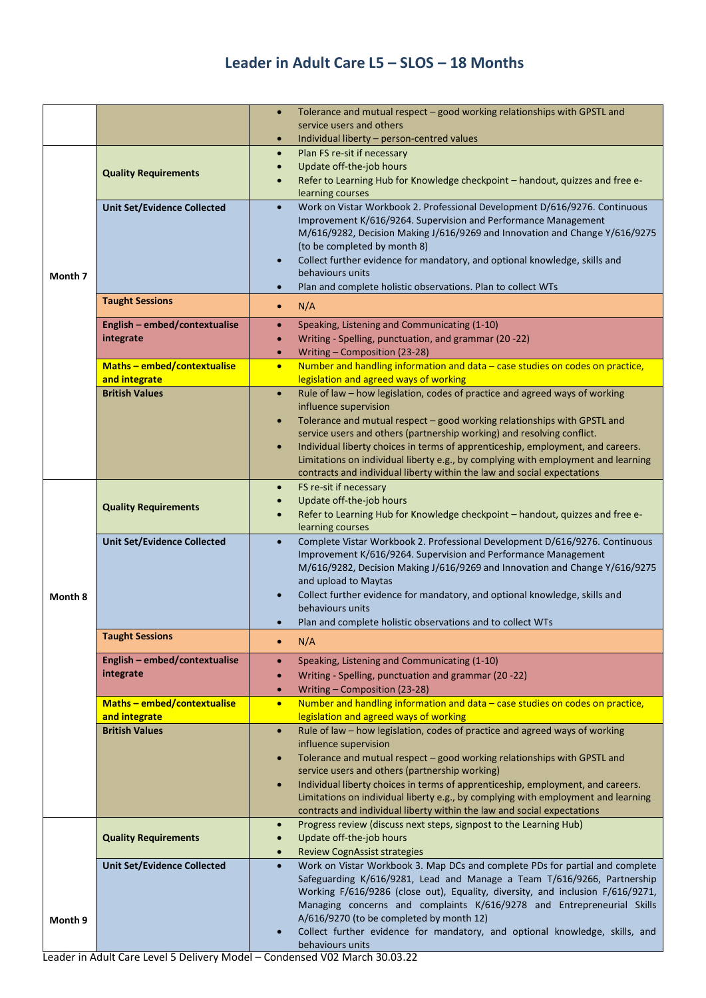|         |                                        | Tolerance and mutual respect - good working relationships with GPSTL and<br>$\bullet$                                                                                  |
|---------|----------------------------------------|------------------------------------------------------------------------------------------------------------------------------------------------------------------------|
|         |                                        | service users and others                                                                                                                                               |
|         |                                        | Individual liberty - person-centred values<br>$\bullet$<br>Plan FS re-sit if necessary<br>$\bullet$                                                                    |
|         |                                        | Update off-the-job hours<br>$\bullet$                                                                                                                                  |
|         | <b>Quality Requirements</b>            | Refer to Learning Hub for Knowledge checkpoint - handout, quizzes and free e-                                                                                          |
|         |                                        | learning courses                                                                                                                                                       |
|         | <b>Unit Set/Evidence Collected</b>     | Work on Vistar Workbook 2. Professional Development D/616/9276. Continuous<br>$\bullet$                                                                                |
|         |                                        | Improvement K/616/9264. Supervision and Performance Management<br>M/616/9282, Decision Making J/616/9269 and Innovation and Change Y/616/9275                          |
|         |                                        | (to be completed by month 8)                                                                                                                                           |
|         |                                        | Collect further evidence for mandatory, and optional knowledge, skills and<br>$\bullet$                                                                                |
| Month 7 |                                        | behaviours units                                                                                                                                                       |
|         |                                        | Plan and complete holistic observations. Plan to collect WTs<br>$\bullet$                                                                                              |
|         | <b>Taught Sessions</b>                 | N/A<br>$\bullet$                                                                                                                                                       |
|         | English - embed/contextualise          | Speaking, Listening and Communicating (1-10)<br>$\bullet$                                                                                                              |
|         | integrate                              | Writing - Spelling, punctuation, and grammar (20 -22)<br>$\bullet$                                                                                                     |
|         | Maths-embed/contextualise              | Writing - Composition (23-28)<br>$\bullet$<br>Number and handling information and data - case studies on codes on practice,                                            |
|         | and integrate                          | $\bullet$<br>legislation and agreed ways of working                                                                                                                    |
|         | <b>British Values</b>                  | Rule of law - how legislation, codes of practice and agreed ways of working<br>$\bullet$                                                                               |
|         |                                        | influence supervision                                                                                                                                                  |
|         |                                        | Tolerance and mutual respect - good working relationships with GPSTL and<br>$\bullet$                                                                                  |
|         |                                        | service users and others (partnership working) and resolving conflict.<br>Individual liberty choices in terms of apprenticeship, employment, and careers.<br>$\bullet$ |
|         |                                        | Limitations on individual liberty e.g., by complying with employment and learning                                                                                      |
|         |                                        | contracts and individual liberty within the law and social expectations                                                                                                |
|         |                                        | FS re-sit if necessary<br>$\bullet$                                                                                                                                    |
|         | <b>Quality Requirements</b>            | Update off-the-job hours<br>$\bullet$                                                                                                                                  |
|         |                                        | Refer to Learning Hub for Knowledge checkpoint - handout, quizzes and free e-<br>$\bullet$<br>learning courses                                                         |
|         | <b>Unit Set/Evidence Collected</b>     | Complete Vistar Workbook 2. Professional Development D/616/9276. Continuous<br>$\bullet$                                                                               |
|         |                                        | Improvement K/616/9264. Supervision and Performance Management                                                                                                         |
|         |                                        | M/616/9282, Decision Making J/616/9269 and Innovation and Change Y/616/9275                                                                                            |
|         |                                        | and upload to Maytas<br>Collect further evidence for mandatory, and optional knowledge, skills and<br>$\bullet$                                                        |
| Month 8 |                                        | behaviours units                                                                                                                                                       |
|         |                                        | Plan and complete holistic observations and to collect WTs                                                                                                             |
|         | <b>Taught Sessions</b>                 | N/A<br>$\bullet$                                                                                                                                                       |
|         | English - embed/contextualise          | Speaking, Listening and Communicating (1-10)<br>$\bullet$                                                                                                              |
|         | integrate                              | Writing - Spelling, punctuation and grammar (20 -22)<br>$\bullet$                                                                                                      |
|         |                                        | Writing - Composition (23-28)<br>$\bullet$                                                                                                                             |
|         | Maths - embed/contextualise            | Number and handling information and data - case studies on codes on practice,<br>$\bullet$                                                                             |
|         | and integrate<br><b>British Values</b> | legislation and agreed ways of working<br>Rule of law - how legislation, codes of practice and agreed ways of working                                                  |
|         |                                        | $\bullet$<br>influence supervision                                                                                                                                     |
|         |                                        | Tolerance and mutual respect - good working relationships with GPSTL and<br>$\bullet$                                                                                  |
|         |                                        | service users and others (partnership working)                                                                                                                         |
|         |                                        | Individual liberty choices in terms of apprenticeship, employment, and careers.<br>$\bullet$                                                                           |
|         |                                        | Limitations on individual liberty e.g., by complying with employment and learning<br>contracts and individual liberty within the law and social expectations           |
|         |                                        | Progress review (discuss next steps, signpost to the Learning Hub)<br>$\bullet$                                                                                        |
|         | <b>Quality Requirements</b>            | Update off-the-job hours<br>$\bullet$                                                                                                                                  |
|         |                                        | <b>Review CognAssist strategies</b><br>$\bullet$                                                                                                                       |
|         | <b>Unit Set/Evidence Collected</b>     | Work on Vistar Workbook 3. Map DCs and complete PDs for partial and complete<br>$\bullet$                                                                              |
|         |                                        | Safeguarding K/616/9281, Lead and Manage a Team T/616/9266, Partnership<br>Working F/616/9286 (close out), Equality, diversity, and inclusion F/616/9271,              |
|         |                                        | Managing concerns and complaints K/616/9278 and Entrepreneurial Skills                                                                                                 |
| Month 9 |                                        | A/616/9270 (to be completed by month 12)                                                                                                                               |
|         |                                        | Collect further evidence for mandatory, and optional knowledge, skills, and<br>$\bullet$                                                                               |
|         |                                        | behaviours units                                                                                                                                                       |

Leader in Adult Care Level 5 Delivery Model – Condensed V02 March 30.03.22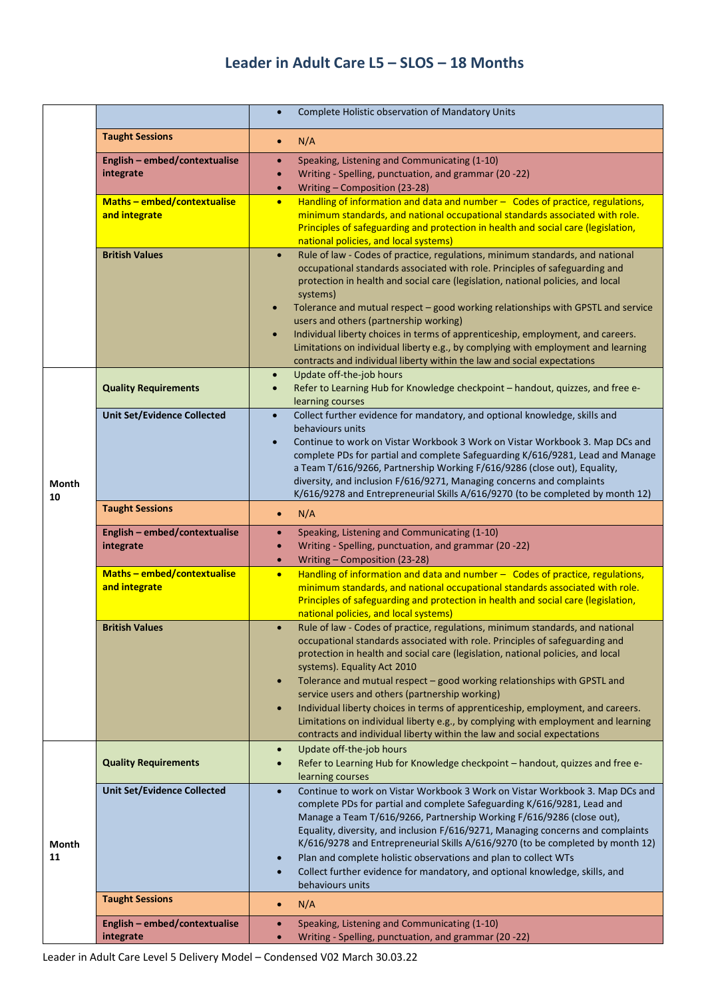|             |                                                   | Complete Holistic observation of Mandatory Units<br>$\bullet$                                                                                                                                                                                                                                                                                                                                                                                                                                                                                                                                                                                                                                          |
|-------------|---------------------------------------------------|--------------------------------------------------------------------------------------------------------------------------------------------------------------------------------------------------------------------------------------------------------------------------------------------------------------------------------------------------------------------------------------------------------------------------------------------------------------------------------------------------------------------------------------------------------------------------------------------------------------------------------------------------------------------------------------------------------|
|             | <b>Taught Sessions</b>                            | N/A<br>$\bullet$                                                                                                                                                                                                                                                                                                                                                                                                                                                                                                                                                                                                                                                                                       |
|             | English - embed/contextualise<br>integrate        | Speaking, Listening and Communicating (1-10)<br>$\bullet$<br>Writing - Spelling, punctuation, and grammar (20 -22)<br>$\bullet$<br>Writing - Composition (23-28)<br>$\bullet$                                                                                                                                                                                                                                                                                                                                                                                                                                                                                                                          |
|             | <b>Maths-embed/contextualise</b><br>and integrate | Handling of information and data and number - Codes of practice, regulations,<br>$\bullet$<br>minimum standards, and national occupational standards associated with role.<br>Principles of safeguarding and protection in health and social care (legislation,<br>national policies, and local systems)                                                                                                                                                                                                                                                                                                                                                                                               |
|             | <b>British Values</b>                             | Rule of law - Codes of practice, regulations, minimum standards, and national<br>$\bullet$<br>occupational standards associated with role. Principles of safeguarding and<br>protection in health and social care (legislation, national policies, and local<br>systems)<br>Tolerance and mutual respect - good working relationships with GPSTL and service<br>$\bullet$<br>users and others (partnership working)<br>Individual liberty choices in terms of apprenticeship, employment, and careers.<br>$\bullet$<br>Limitations on individual liberty e.g., by complying with employment and learning<br>contracts and individual liberty within the law and social expectations                    |
|             | <b>Quality Requirements</b>                       | Update off-the-job hours<br>$\bullet$<br>Refer to Learning Hub for Knowledge checkpoint - handout, quizzes, and free e-<br>$\bullet$<br>learning courses                                                                                                                                                                                                                                                                                                                                                                                                                                                                                                                                               |
| Month<br>10 | <b>Unit Set/Evidence Collected</b>                | Collect further evidence for mandatory, and optional knowledge, skills and<br>$\bullet$<br>behaviours units<br>Continue to work on Vistar Workbook 3 Work on Vistar Workbook 3. Map DCs and<br>$\bullet$<br>complete PDs for partial and complete Safeguarding K/616/9281, Lead and Manage<br>a Team T/616/9266, Partnership Working F/616/9286 (close out), Equality,<br>diversity, and inclusion F/616/9271, Managing concerns and complaints<br>K/616/9278 and Entrepreneurial Skills A/616/9270 (to be completed by month 12)                                                                                                                                                                      |
|             | <b>Taught Sessions</b>                            | N/A<br>$\bullet$                                                                                                                                                                                                                                                                                                                                                                                                                                                                                                                                                                                                                                                                                       |
|             | English - embed/contextualise<br>integrate        | Speaking, Listening and Communicating (1-10)<br>$\bullet$<br>Writing - Spelling, punctuation, and grammar (20 -22)<br>$\bullet$<br>Writing - Composition (23-28)<br>$\bullet$                                                                                                                                                                                                                                                                                                                                                                                                                                                                                                                          |
|             | Maths-embed/contextualise<br>and integrate        | Handling of information and data and number $-$ Codes of practice, regulations,<br>$\bullet$<br>minimum standards, and national occupational standards associated with role.<br>Principles of safeguarding and protection in health and social care (legislation,<br>national policies, and local systems)                                                                                                                                                                                                                                                                                                                                                                                             |
|             | <b>British Values</b>                             | Rule of law - Codes of practice, regulations, minimum standards, and national<br>$\bullet$<br>occupational standards associated with role. Principles of safeguarding and<br>protection in health and social care (legislation, national policies, and local<br>systems). Equality Act 2010<br>Tolerance and mutual respect - good working relationships with GPSTL and<br>$\bullet$<br>service users and others (partnership working)<br>Individual liberty choices in terms of apprenticeship, employment, and careers.<br>$\bullet$<br>Limitations on individual liberty e.g., by complying with employment and learning<br>contracts and individual liberty within the law and social expectations |
|             | <b>Quality Requirements</b>                       | Update off-the-job hours<br>$\bullet$<br>Refer to Learning Hub for Knowledge checkpoint - handout, quizzes and free e-<br>$\bullet$<br>learning courses                                                                                                                                                                                                                                                                                                                                                                                                                                                                                                                                                |
| Month<br>11 | <b>Unit Set/Evidence Collected</b>                | Continue to work on Vistar Workbook 3 Work on Vistar Workbook 3. Map DCs and<br>$\bullet$<br>complete PDs for partial and complete Safeguarding K/616/9281, Lead and<br>Manage a Team T/616/9266, Partnership Working F/616/9286 (close out),<br>Equality, diversity, and inclusion F/616/9271, Managing concerns and complaints<br>K/616/9278 and Entrepreneurial Skills A/616/9270 (to be completed by month 12)<br>Plan and complete holistic observations and plan to collect WTs<br>$\bullet$<br>Collect further evidence for mandatory, and optional knowledge, skills, and<br>$\bullet$<br>behaviours units                                                                                     |
|             | <b>Taught Sessions</b>                            | N/A<br>$\bullet$                                                                                                                                                                                                                                                                                                                                                                                                                                                                                                                                                                                                                                                                                       |
|             | English - embed/contextualise<br>integrate        | Speaking, Listening and Communicating (1-10)<br>$\bullet$<br>Writing - Spelling, punctuation, and grammar (20 -22)<br>$\bullet$                                                                                                                                                                                                                                                                                                                                                                                                                                                                                                                                                                        |

Leader in Adult Care Level 5 Delivery Model – Condensed V02 March 30.03.22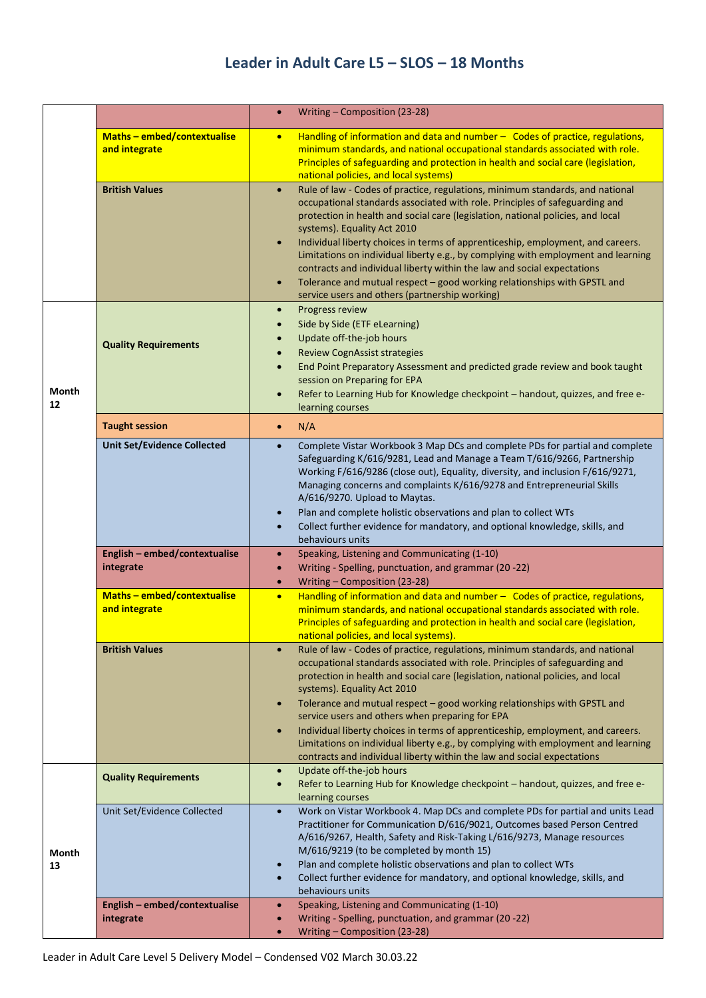|                    |                                            | Writing - Composition (23-28)<br>$\bullet$                                                                                                                                                                                                                                                                                                                                                                                                                                                                                                                                                                                                                                                              |
|--------------------|--------------------------------------------|---------------------------------------------------------------------------------------------------------------------------------------------------------------------------------------------------------------------------------------------------------------------------------------------------------------------------------------------------------------------------------------------------------------------------------------------------------------------------------------------------------------------------------------------------------------------------------------------------------------------------------------------------------------------------------------------------------|
|                    | Maths-embed/contextualise<br>and integrate | Handling of information and data and number $-$ Codes of practice, regulations,<br>$\bullet$<br>minimum standards, and national occupational standards associated with role.<br>Principles of safeguarding and protection in health and social care (legislation,<br>national policies, and local systems)                                                                                                                                                                                                                                                                                                                                                                                              |
|                    | <b>British Values</b>                      | Rule of law - Codes of practice, regulations, minimum standards, and national<br>$\bullet$<br>occupational standards associated with role. Principles of safeguarding and<br>protection in health and social care (legislation, national policies, and local<br>systems). Equality Act 2010<br>Individual liberty choices in terms of apprenticeship, employment, and careers.<br>$\bullet$<br>Limitations on individual liberty e.g., by complying with employment and learning<br>contracts and individual liberty within the law and social expectations<br>Tolerance and mutual respect - good working relationships with GPSTL and<br>$\bullet$<br>service users and others (partnership working)  |
| <b>Month</b><br>12 | <b>Quality Requirements</b>                | Progress review<br>$\bullet$<br>Side by Side (ETF eLearning)<br>$\bullet$<br>Update off-the-job hours<br>$\bullet$<br><b>Review CognAssist strategies</b><br>$\bullet$<br>End Point Preparatory Assessment and predicted grade review and book taught<br>$\bullet$<br>session on Preparing for EPA<br>Refer to Learning Hub for Knowledge checkpoint - handout, quizzes, and free e-<br>$\bullet$<br>learning courses                                                                                                                                                                                                                                                                                   |
|                    | <b>Taught session</b>                      | N/A<br>$\bullet$                                                                                                                                                                                                                                                                                                                                                                                                                                                                                                                                                                                                                                                                                        |
|                    | <b>Unit Set/Evidence Collected</b>         | Complete Vistar Workbook 3 Map DCs and complete PDs for partial and complete<br>$\bullet$<br>Safeguarding K/616/9281, Lead and Manage a Team T/616/9266, Partnership<br>Working F/616/9286 (close out), Equality, diversity, and inclusion F/616/9271,<br>Managing concerns and complaints K/616/9278 and Entrepreneurial Skills<br>A/616/9270. Upload to Maytas.<br>Plan and complete holistic observations and plan to collect WTs<br>$\bullet$<br>Collect further evidence for mandatory, and optional knowledge, skills, and<br>$\bullet$<br>behaviours units                                                                                                                                       |
|                    | English - embed/contextualise<br>integrate | Speaking, Listening and Communicating (1-10)<br>$\bullet$<br>Writing - Spelling, punctuation, and grammar (20 -22)<br>$\bullet$<br>Writing - Composition (23-28)<br>$\bullet$                                                                                                                                                                                                                                                                                                                                                                                                                                                                                                                           |
|                    | Maths-embed/contextualise<br>and integrate | Handling of information and data and number - Codes of practice, regulations,<br>$\bullet$<br>minimum standards, and national occupational standards associated with role.<br>Principles of safeguarding and protection in health and social care (legislation,<br>national policies, and local systems).                                                                                                                                                                                                                                                                                                                                                                                               |
|                    | <b>British Values</b>                      | Rule of law - Codes of practice, regulations, minimum standards, and national<br>$\bullet$<br>occupational standards associated with role. Principles of safeguarding and<br>protection in health and social care (legislation, national policies, and local<br>systems). Equality Act 2010<br>Tolerance and mutual respect - good working relationships with GPSTL and<br>$\bullet$<br>service users and others when preparing for EPA<br>Individual liberty choices in terms of apprenticeship, employment, and careers.<br>$\bullet$<br>Limitations on individual liberty e.g., by complying with employment and learning<br>contracts and individual liberty within the law and social expectations |
|                    | <b>Quality Requirements</b>                | Update off-the-job hours<br>$\bullet$<br>Refer to Learning Hub for Knowledge checkpoint - handout, quizzes, and free e-<br>$\bullet$<br>learning courses                                                                                                                                                                                                                                                                                                                                                                                                                                                                                                                                                |
| Month<br>13        | Unit Set/Evidence Collected                | Work on Vistar Workbook 4. Map DCs and complete PDs for partial and units Lead<br>$\bullet$<br>Practitioner for Communication D/616/9021, Outcomes based Person Centred<br>A/616/9267, Health, Safety and Risk-Taking L/616/9273, Manage resources<br>M/616/9219 (to be completed by month 15)<br>Plan and complete holistic observations and plan to collect WTs<br>$\bullet$<br>Collect further evidence for mandatory, and optional knowledge, skills, and<br>$\bullet$<br>behaviours units                                                                                                                                                                                                          |
|                    | English - embed/contextualise<br>integrate | Speaking, Listening and Communicating (1-10)<br>$\bullet$<br>Writing - Spelling, punctuation, and grammar (20 -22)<br>$\bullet$<br>Writing - Composition (23-28)<br>$\bullet$                                                                                                                                                                                                                                                                                                                                                                                                                                                                                                                           |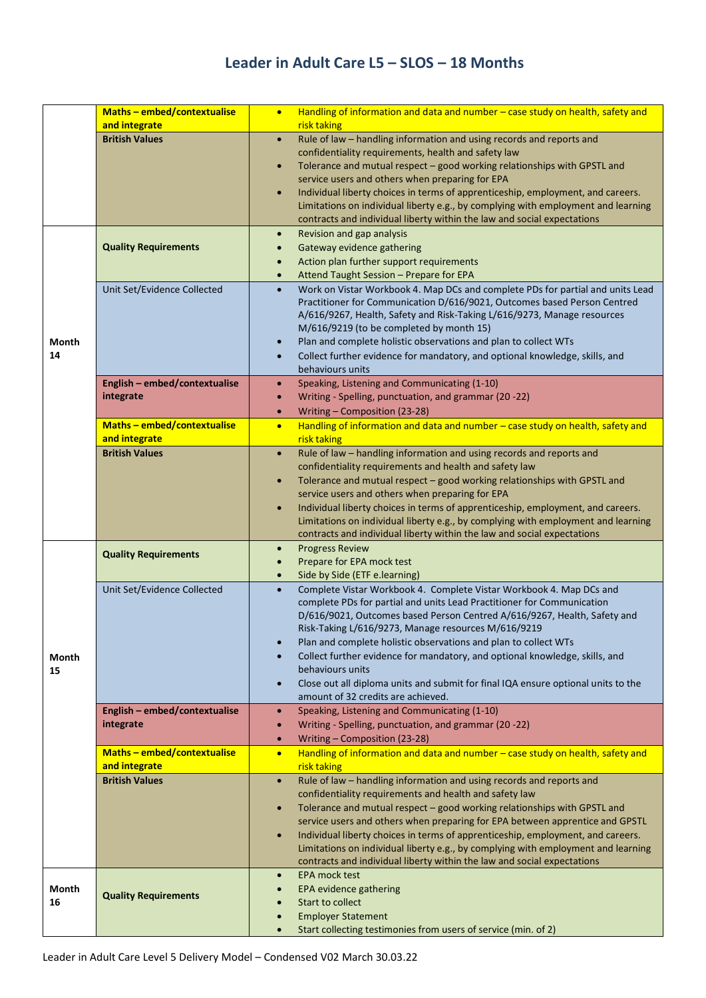|              | <b>Maths-embed/contextualise</b>                  | Handling of information and data and number - case study on health, safety and<br>$\bullet$                                                                             |
|--------------|---------------------------------------------------|-------------------------------------------------------------------------------------------------------------------------------------------------------------------------|
|              | and integrate                                     | risk taking                                                                                                                                                             |
|              | <b>British Values</b>                             | Rule of law - handling information and using records and reports and<br>$\bullet$                                                                                       |
|              |                                                   | confidentiality requirements, health and safety law<br>Tolerance and mutual respect - good working relationships with GPSTL and<br>$\bullet$                            |
|              |                                                   | service users and others when preparing for EPA                                                                                                                         |
|              |                                                   | Individual liberty choices in terms of apprenticeship, employment, and careers.<br>$\bullet$                                                                            |
|              |                                                   | Limitations on individual liberty e.g., by complying with employment and learning                                                                                       |
|              |                                                   | contracts and individual liberty within the law and social expectations                                                                                                 |
|              |                                                   | Revision and gap analysis<br>$\bullet$                                                                                                                                  |
|              | <b>Quality Requirements</b>                       | Gateway evidence gathering                                                                                                                                              |
|              |                                                   | Action plan further support requirements<br>$\bullet$                                                                                                                   |
|              |                                                   | Attend Taught Session - Prepare for EPA<br>$\bullet$                                                                                                                    |
|              | Unit Set/Evidence Collected                       | Work on Vistar Workbook 4. Map DCs and complete PDs for partial and units Lead<br>$\bullet$<br>Practitioner for Communication D/616/9021, Outcomes based Person Centred |
|              |                                                   | A/616/9267, Health, Safety and Risk-Taking L/616/9273, Manage resources                                                                                                 |
|              |                                                   | M/616/9219 (to be completed by month 15)                                                                                                                                |
| <b>Month</b> |                                                   | Plan and complete holistic observations and plan to collect WTs<br>$\bullet$                                                                                            |
| 14           |                                                   | Collect further evidence for mandatory, and optional knowledge, skills, and<br>$\bullet$                                                                                |
|              |                                                   | behaviours units                                                                                                                                                        |
|              | English - embed/contextualise                     | Speaking, Listening and Communicating (1-10)<br>$\bullet$                                                                                                               |
|              | integrate                                         | Writing - Spelling, punctuation, and grammar (20 -22)<br>$\bullet$                                                                                                      |
|              |                                                   | Writing - Composition (23-28)<br>$\bullet$                                                                                                                              |
|              | <b>Maths-embed/contextualise</b><br>and integrate | Handling of information and data and number - case study on health, safety and<br>$\bullet$<br>risk taking                                                              |
|              | <b>British Values</b>                             | Rule of law - handling information and using records and reports and<br>$\bullet$                                                                                       |
|              |                                                   | confidentiality requirements and health and safety law                                                                                                                  |
|              |                                                   | Tolerance and mutual respect - good working relationships with GPSTL and<br>$\bullet$                                                                                   |
|              |                                                   | service users and others when preparing for EPA                                                                                                                         |
|              |                                                   | Individual liberty choices in terms of apprenticeship, employment, and careers.<br>$\bullet$                                                                            |
|              |                                                   | Limitations on individual liberty e.g., by complying with employment and learning<br>contracts and individual liberty within the law and social expectations            |
|              |                                                   | <b>Progress Review</b><br>$\bullet$                                                                                                                                     |
|              | <b>Quality Requirements</b>                       | Prepare for EPA mock test<br>$\bullet$                                                                                                                                  |
|              |                                                   | Side by Side (ETF e.learning)<br>$\bullet$                                                                                                                              |
|              | Unit Set/Evidence Collected                       | Complete Vistar Workbook 4. Complete Vistar Workbook 4. Map DCs and<br>$\bullet$                                                                                        |
|              |                                                   | complete PDs for partial and units Lead Practitioner for Communication                                                                                                  |
|              |                                                   | D/616/9021, Outcomes based Person Centred A/616/9267, Health, Safety and                                                                                                |
|              |                                                   | Risk-Taking L/616/9273, Manage resources M/616/9219<br>Plan and complete holistic observations and plan to collect WTs                                                  |
| Month        |                                                   | Collect further evidence for mandatory, and optional knowledge, skills, and                                                                                             |
| 15           |                                                   | behaviours units                                                                                                                                                        |
|              |                                                   | Close out all diploma units and submit for final IQA ensure optional units to the<br>$\bullet$                                                                          |
|              |                                                   | amount of 32 credits are achieved.                                                                                                                                      |
|              | English - embed/contextualise                     | Speaking, Listening and Communicating (1-10)<br>$\bullet$                                                                                                               |
|              | integrate                                         | Writing - Spelling, punctuation, and grammar (20 -22)<br>$\bullet$                                                                                                      |
|              |                                                   | Writing - Composition (23-28)<br>$\bullet$                                                                                                                              |
|              | <b>Maths-embed/contextualise</b><br>and integrate | Handling of information and data and number - case study on health, safety and<br>$\bullet$<br>risk taking                                                              |
|              | <b>British Values</b>                             | Rule of law - handling information and using records and reports and<br>$\bullet$                                                                                       |
|              |                                                   | confidentiality requirements and health and safety law                                                                                                                  |
|              |                                                   | Tolerance and mutual respect - good working relationships with GPSTL and<br>$\bullet$                                                                                   |
|              |                                                   | service users and others when preparing for EPA between apprentice and GPSTL                                                                                            |
|              |                                                   | Individual liberty choices in terms of apprenticeship, employment, and careers.<br>$\bullet$                                                                            |
|              |                                                   | Limitations on individual liberty e.g., by complying with employment and learning                                                                                       |
|              |                                                   | contracts and individual liberty within the law and social expectations                                                                                                 |
| Month        |                                                   | <b>EPA mock test</b><br>$\bullet$<br><b>EPA evidence gathering</b><br>$\bullet$                                                                                         |
| 16           | <b>Quality Requirements</b>                       | Start to collect<br>$\bullet$                                                                                                                                           |
|              |                                                   | <b>Employer Statement</b><br>$\bullet$                                                                                                                                  |
|              |                                                   | Start collecting testimonies from users of service (min. of 2)<br>$\bullet$                                                                                             |